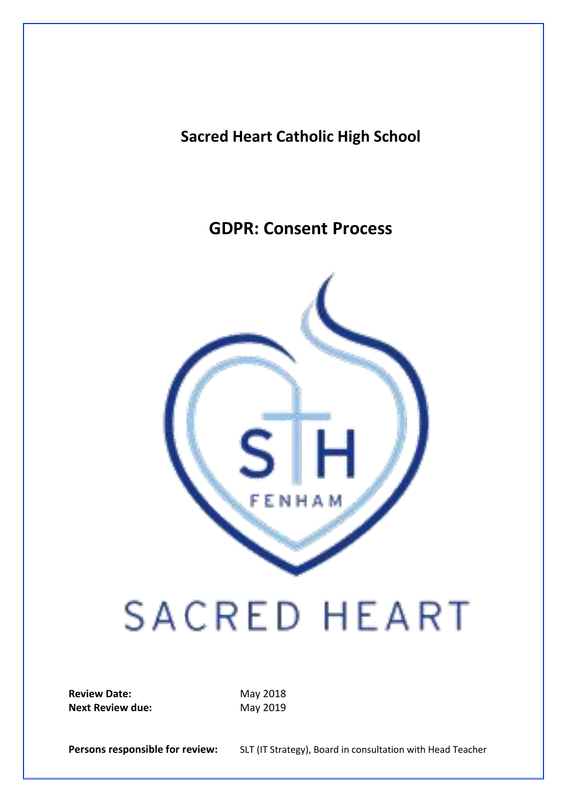### **Sacred Heart Catholic High School**

## **GDPR: Consent Process**



# **SACRED HEART**

**Review Date:** May 2018 **Next Review due:** May 2019

Persons responsible for review: SLT (IT Strategy), Board in consultation with Head Teacher